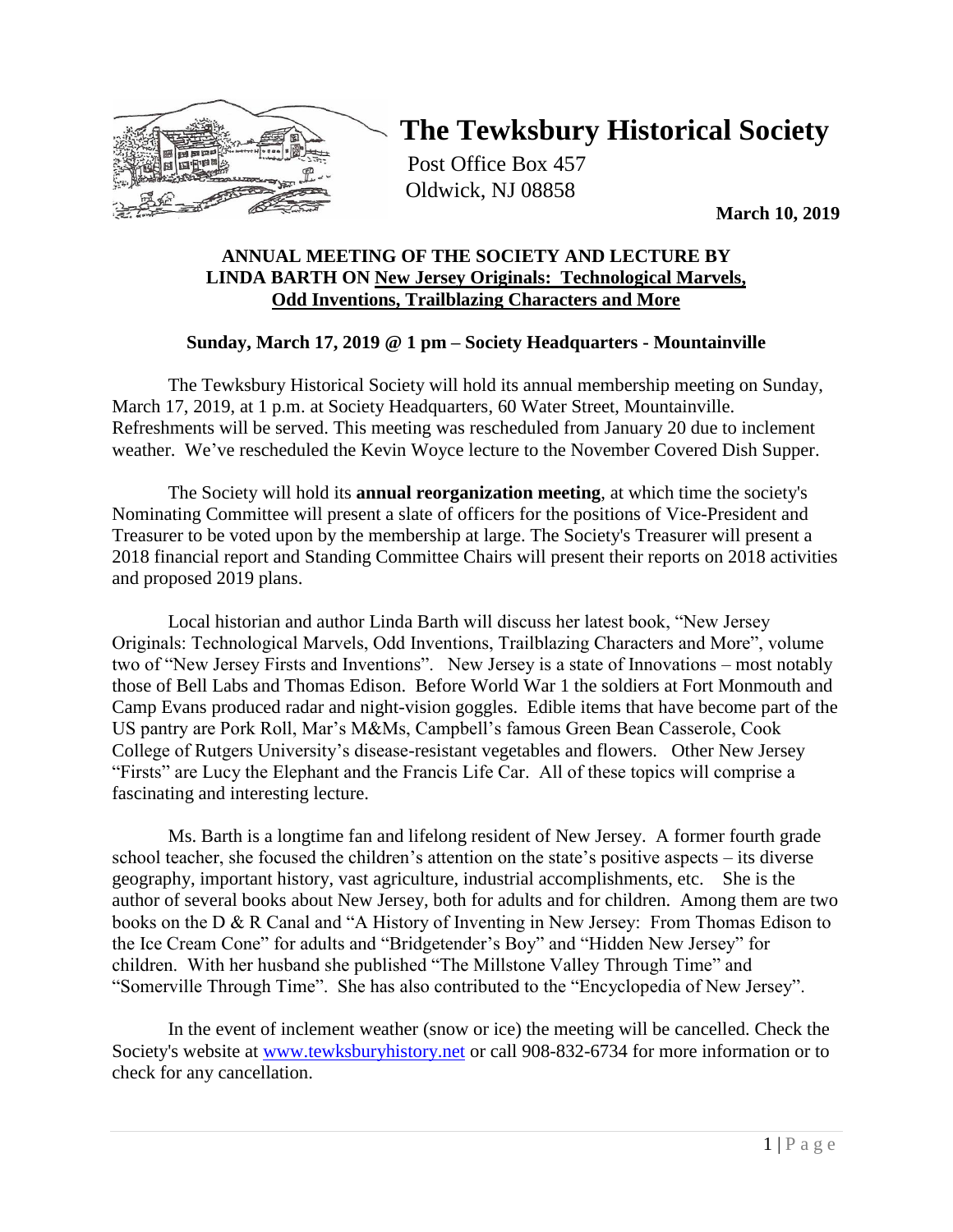

# **The Tewksbury Historical Society**

Post Office Box 457 Oldwick, NJ 08858

**March 10, 2019**

### **ANNUAL MEETING OF THE SOCIETY AND LECTURE BY LINDA BARTH ON New Jersey Originals: Technological Marvels, Odd Inventions, Trailblazing Characters and More**

# **Sunday, March 17, 2019 @ 1 pm – Society Headquarters - Mountainville**

The Tewksbury Historical Society will hold its annual membership meeting on Sunday, March 17, 2019, at 1 p.m. at Society Headquarters, 60 Water Street, Mountainville. Refreshments will be served. This meeting was rescheduled from January 20 due to inclement weather. We've rescheduled the Kevin Woyce lecture to the November Covered Dish Supper.

The Society will hold its **annual reorganization meeting**, at which time the society's Nominating Committee will present a slate of officers for the positions of Vice-President and Treasurer to be voted upon by the membership at large. The Society's Treasurer will present a 2018 financial report and Standing Committee Chairs will present their reports on 2018 activities and proposed 2019 plans.

Local historian and author Linda Barth will discuss her latest book, "New Jersey Originals: Technological Marvels, Odd Inventions, Trailblazing Characters and More", volume two of "New Jersey Firsts and Inventions". New Jersey is a state of Innovations – most notably those of Bell Labs and Thomas Edison. Before World War 1 the soldiers at Fort Monmouth and Camp Evans produced radar and night-vision goggles. Edible items that have become part of the US pantry are Pork Roll, Mar's M&Ms, Campbell's famous Green Bean Casserole, Cook College of Rutgers University's disease-resistant vegetables and flowers. Other New Jersey "Firsts" are Lucy the Elephant and the Francis Life Car. All of these topics will comprise a fascinating and interesting lecture.

Ms. Barth is a longtime fan and lifelong resident of New Jersey. A former fourth grade school teacher, she focused the children's attention on the state's positive aspects – its diverse geography, important history, vast agriculture, industrial accomplishments, etc. She is the author of several books about New Jersey, both for adults and for children. Among them are two books on the D & R Canal and "A History of Inventing in New Jersey: From Thomas Edison to the Ice Cream Cone" for adults and "Bridgetender's Boy" and "Hidden New Jersey" for children. With her husband she published "The Millstone Valley Through Time" and "Somerville Through Time". She has also contributed to the "Encyclopedia of New Jersey".

In the event of inclement weather (snow or ice) the meeting will be cancelled. Check the Society's website at [www.tewksburyhistory.net](http://www.tewksburyhistory.net/) or call 908-832-6734 for more information or to check for any cancellation.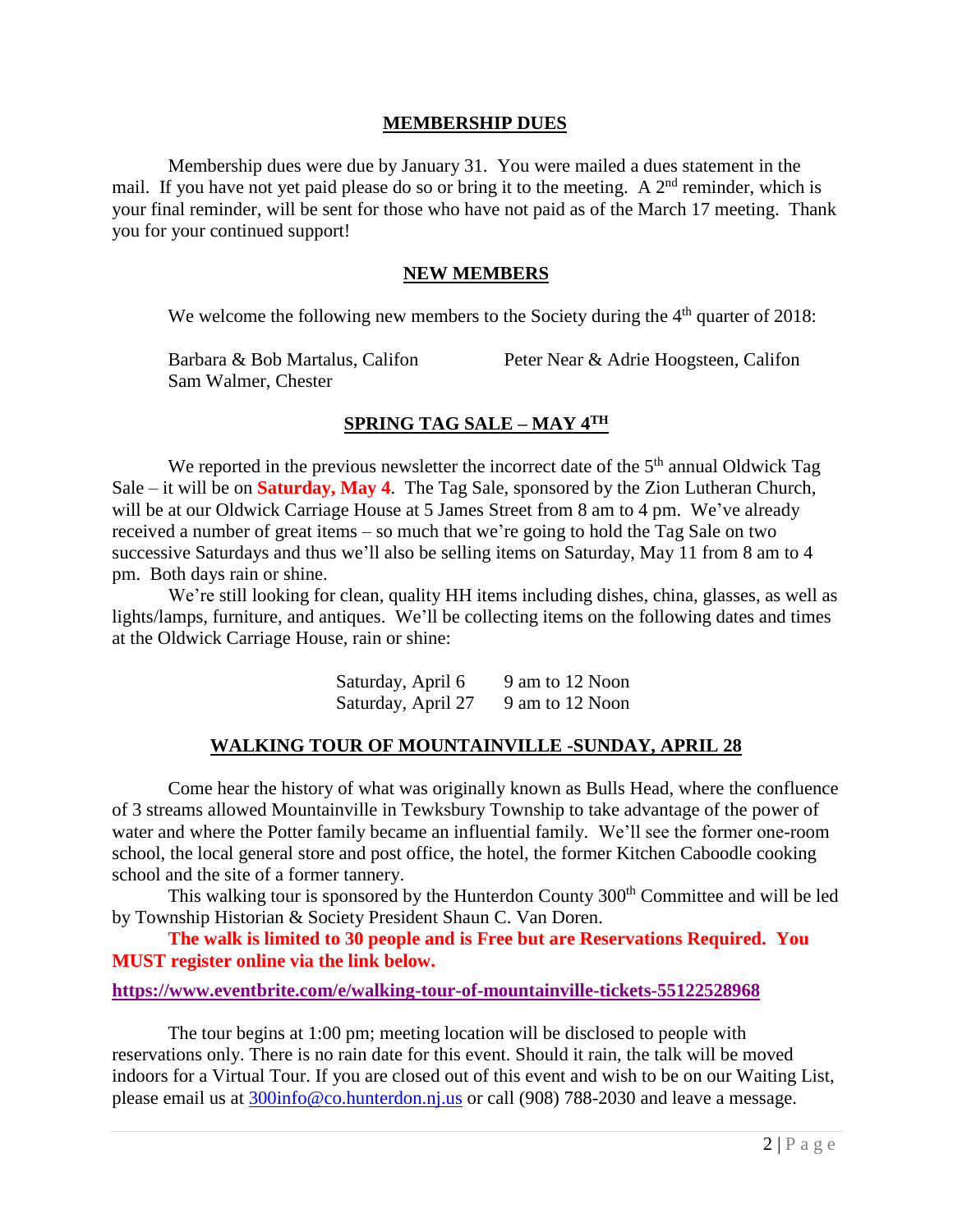#### **MEMBERSHIP DUES**

Membership dues were due by January 31. You were mailed a dues statement in the mail. If you have not yet paid please do so or bring it to the meeting. A  $2<sup>nd</sup>$  reminder, which is your final reminder, will be sent for those who have not paid as of the March 17 meeting. Thank you for your continued support!

#### **NEW MEMBERS**

We welcome the following new members to the Society during the  $4<sup>th</sup>$  quarter of 2018:

| Barbara & Bob Martalus, Califon | Peter Near & Adrie Hoogsteen, Califon |  |
|---------------------------------|---------------------------------------|--|
| Sam Walmer, Chester             |                                       |  |

# **SPRING TAG SALE – MAY 4TH**

We reported in the previous newsletter the incorrect date of the  $5<sup>th</sup>$  annual Oldwick Tag Sale – it will be on **Saturday, May 4**. The Tag Sale, sponsored by the Zion Lutheran Church, will be at our Oldwick Carriage House at 5 James Street from 8 am to 4 pm. We've already received a number of great items – so much that we're going to hold the Tag Sale on two successive Saturdays and thus we'll also be selling items on Saturday, May 11 from 8 am to 4 pm. Both days rain or shine.

We're still looking for clean, quality HH items including dishes, china, glasses, as well as lights/lamps, furniture, and antiques. We'll be collecting items on the following dates and times at the Oldwick Carriage House, rain or shine:

> Saturday, April  $6 \qquad 9$  am to 12 Noon Saturday, April 27 9 am to 12 Noon

#### **WALKING TOUR OF MOUNTAINVILLE -SUNDAY, APRIL 28**

Come hear the history of what was originally known as Bulls Head, where the confluence of 3 streams allowed Mountainville in Tewksbury Township to take advantage of the power of water and where the Potter family became an influential family. We'll see the former one-room school, the local general store and post office, the hotel, the former Kitchen Caboodle cooking school and the site of a former tannery.

This walking tour is sponsored by the Hunterdon County 300<sup>th</sup> Committee and will be led by Township Historian & Society President Shaun C. Van Doren.

**The walk is limited to 30 people and is Free but are Reservations Required. You MUST register online via the link below.**

**<https://www.eventbrite.com/e/walking-tour-of-mountainville-tickets-55122528968>**

The tour begins at 1:00 pm; meeting location will be disclosed to people with reservations only. There is no rain date for this event. Should it rain, the talk will be moved indoors for a Virtual Tour. If you are closed out of this event and wish to be on our Waiting List, please email us at [300info@co.hunterdon.nj.us](mailto:300info@co.hunterdon.nj.us) or call (908) 788-2030 and leave a message.